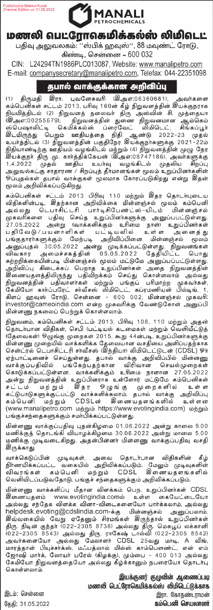Published in Makkal Kural-<br>Chennai Edition on 31.05 2022



## மணலி வபட்ரோகெமிக்கல்ஸ் லிமிவடட்

பதிவு அலுவலகம்: ''ஸ்பிக் ஹவுஸ்'', 88 மவுண்ட் ரோடு,

கிண்டி, சென்னை - 600 032

CIN: L24294TN1986PLC013087, Website: www.manalipetro.com E-mail: companysecretary@manalipetro.com, Telefax: 044-22351098

## தபால் வாக்குக்கான அறிவிப்பு

இரா. புவனேசுவரி (இஅஎ:06360681), திருமதி .<br>அவர்களை  $(1)$ கம்பெனிகள் சட்டம் 2013, பரிவு 160ன் கீழ் நிறுவனத்தின் இயக்குநராக கம்வடன்கள் உட்ட 2010, பாடி 100லாக நிறுவனத்தையை உடைகுறுர்கை<br>நியமித்திடல் (2) நிறுவனத் தலைவர் திரு அஸ்வின் சி. முத்தையா<br>(இஅஎ:00255679), நிறுவனத்தின் துணை நிறுவனமான ஆம்கெம்<br>ஸ்பெஷாலிட்டி கெமிக்கல்ஸ் ப்ரைவேட் லிமிடெட், சிங்கப் இடமிருந்து பெறும் ஊதியத்தை நிதி ஆண்டு 2022-23 முதல் உயாததுடல (3) நிறுவனத்துன் பகுதுவநர கைகளுநாகளுக்கு கட்டாட்டம்<br>நிதியாண்டிற்கு ஊதியம் வழங்கிடல் மற்றும் (4) நிறுவனத்தின் முழு நேர<br>இயக்குநா திரு மு. காாத்திக்கேயன் (இஅஎ:08747186), அவாகளுக்கு<br>1.4.2022 முதல் ஊதிய உயாவு வழங்கிடல ு.<br>ஒப்புதல்கள் தபால் வாக்குகள் மூலமாக கோரப்படுகிறது என்று இதன் மூலம் அறிவிக்கப்படுகிறது.

கம்பெனிகள் சட்டம் 2013 பிரிவு 110 மற்றும் இதர தொடர்புடைய வையெல்லை. படம் டல் டல்களை மின்னஞ்சல் மூலம் கம்பெனி<br>விதிகளின்படி, இதற்கான அறிவிக்கை மின்னஞ்சல் மூலம் கம்பெனி<br>அல்லது டெபாசிட்டரி பார்டிசிபேண்ட்ஸ்-யிடம் மின்னஞ்சல் அல்லது பெரிசிடப்பட்டுள்ளது.<br>முகவரிகளை பதிவு செய்த உறுப்பிளர்களுக்கு அனுப்பட்டுள்ளது.<br>27.05.2022 அன்று (வாக்களிக்கும் உரிமை நாள்) உறுப்பினர்கள்<br>பதிவேடு/பயனாளிகள் பட்டியவில் உள்ள அனைத்து<br>பங்குதாரர்களுக்கும் மேற்படி அறிவிப்ப – – – சுறுப்புதல் 30.05.2022 அன்று முடிக்கப்பட்டுள்ளது. நிறுவனங்கள்<br>விவகார அமைச்சகத்தின் 05.05.2022 தேதியிட்ட பொது<br>சுற்றறிக்கையின்படியின்னஞ்சல் மூலம் மட்டுமே அனுப்பப்பட்டுள்ளது. .<br>அறிவிப்பு கிடைக்கப் பெறாத உறுப்பினர்கள் அதை நிறுவனத்தின் அறுவப்பு கடைக்கப் பெற்றத் உறுப்பானாகவு அல்ல நடுவதையை<br>இணையதளத்திலிருந்து பதிவிறக்கம் செய்து கொள்ளலாம் அல்லது<br>நிறுவனத்தின் பதிவாளர்கள் மற்றும் பங்குப் பரிமாற்ற முகவர்கள்,<br>கிளப் ஹவுஸ் ரோடு, சென்னை - 600 002, மின்னஞ்சல் முகவர investor@cameoindia.com என்ற முகவரிக்கு வேண்டுகோள் அனுப்பி .<br>மின்னணு நகலைப் பெற்றுக் கொள்ளலாம்

நிறுவனம், கம்பெனிகள் சட்டம் 2013, பிரிவு 108, 110 மற்றும் அதன்<br>தொடர்பான விதிகள், செபி (பட்டியல் கடமைகள் மற்றும் வெளியீட்டுத் (தேவைகள்) ஒழுங்கு முறைகள் 2015, கூறு 44ன்படி, உறுப்பினாகளுக்கு ்கு கையை - ஆட்டு மும்பத்தின் உரு படியது - பட்டிடி உறுப்பமைஞரும்<br>மின்னணு முறையில் வாக்களிக்க தேவையான வசதியை அளிப்பதற்காக<br>சென்ட்ரல் டெபாசிட்டரி சாவீசஸ் (இந்தியா) லிமிடெட்டுடன் (CDSL) ஓா் பெண்டரல் பெட்பாசுட்டர் சாவசஸ் கூந்தயார் வங்கட்டுடன் (பட்டை ஏற்பாட்டினைச் செய்துள்ளது. தபால் வாக்கு அறிவிப்பில் மின்னணு<br>வாக்குப்பதிவில் பங்கேற்பதற்கான விரிவான செயல்முறைகள்<br>அன்று நிறுவனத்தின் உறுப்பினராக உள்ளோர் மட்டுமே கம 

மின்னணு வாக்குப்பதிவு புதன்கிழமை 01.06.2022 அன்று காலை 9.00 மணிக்குத் தொடங்கி வியாழக்கிழமை 30.06.2022 அன்று மாலை 5.00 .<br>மணிக்கு முடிவடைகிறது. அதன்பின்னா் மின்னணு வாக்குப்பதிவு வசதி இருக்காது.

வாக்கெடுப்பின் முடிவுகள், அவை தொடர்பான விதிகளின் கீழ்<br>நிர்ணயிக்கப்பட்ட வகையில் அறிவிக்கப்படும். மேலும் முடிவுகளின்<br>விவரங்கள் கம்பெனி மற்றும் CDSL இணையதளங்களில் வெளியிடப்படுவதோடு, பங்குச் சந்தைகளுக்கும் அறிவிக்கப்படும்.

.<br>மின்னணு வாக்களிப்பு மீதான விளக்கம் பெற, உறுப்பினர்கள் CDSL இணையதளம் www.evotingindia.comல் உள்ள கையேட்டையோ அல்லது சந்தேக விளக்க வினா-விடைகளையோ பார்க்கலாம், அல்லது helpdesk.evoting@cdslindia.com-க்கு மின்னஞ்சல் அனுப்பலாம். இவ்வகையில் வேறு ஏதேனும் சிரமங்கள் இருந்தால் உறுப்பினர்கள் கிவ்வகையில் வேறு ஏதேனும் சிரமங்கள் கிருந்தால் உறுப்பினர்கள்<br>திரு. நிடின் குந்தர் (022-2305 8738) அல்லது திரு. மெகபூப் லக்கானி<br>(022-2305 8543) அல்லது திரு. ராகேஷ் டால்வி (022-2305 8542)<br>அவர்களையோ அல்லது மேலாளர் CDSL 25வது கொள்ளலாம்

> இயக்குனர் குழுவின் ஆணைப்படி மணலி பெட்ரோகெமிக்கல்ஸ் லிமிடெட்டுக்காக இரா. கோதண்டராமன் கம்பெனி செயலாளர்

இடம்: சென்னை கேகி: 31.05.2022